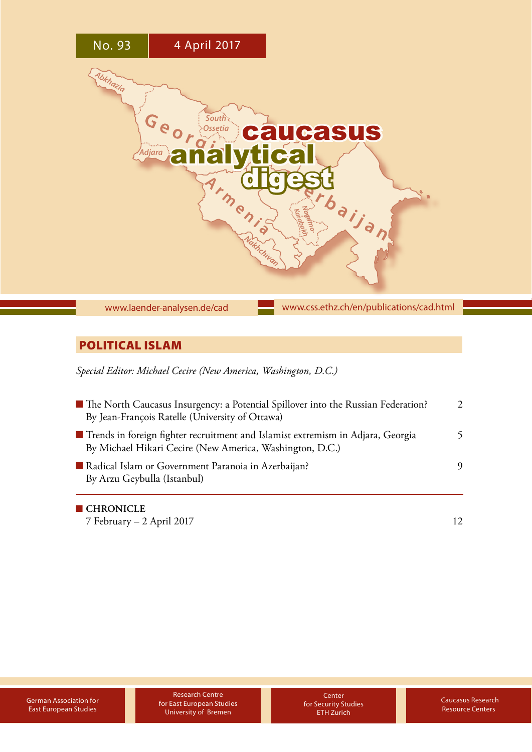

# POLITICAL ISLAM

*Special Editor: Michael Cecire (New America, Washington, D.C.)*

| • The North Caucasus Insurgency: a Potential Spillover into the Russian Federation?<br>By Jean-François Ratelle (University of Ottawa)      | $\mathcal{L}$ |
|---------------------------------------------------------------------------------------------------------------------------------------------|---------------|
| Trends in foreign fighter recruitment and Islamist extremism in Adjara, Georgia<br>By Michael Hikari Cecire (New America, Washington, D.C.) |               |
| Radical Islam or Government Paranoia in Azerbaijan?<br>By Arzu Geybulla (Istanbul)                                                          | 9             |
| <b>CHRONICLE</b>                                                                                                                            |               |

[7 February – 2 April 2017](#page-11-0) 12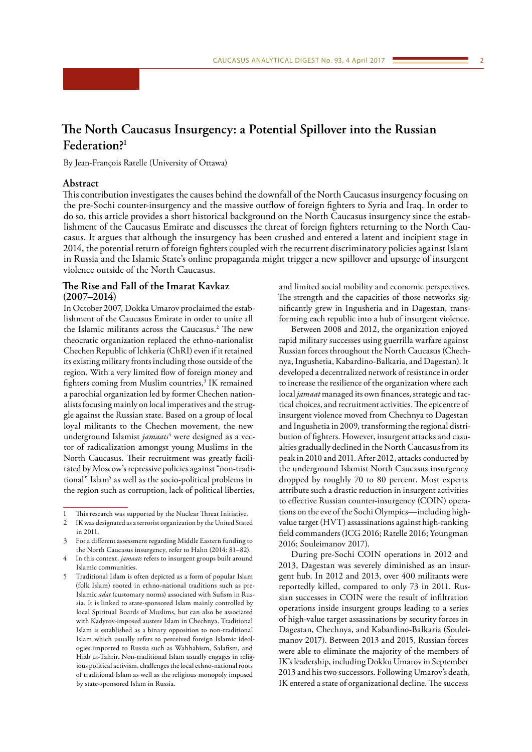# <span id="page-1-0"></span>**The North Caucasus Insurgency: a Potential Spillover into the Russian Federation?1**

By Jean-François Ratelle (University of Ottawa)

# **Abstract**

This contribution investigates the causes behind the downfall of the North Caucasus insurgency focusing on the pre-Sochi counter-insurgency and the massive outflow of foreign fighters to Syria and Iraq. In order to do so, this article provides a short historical background on the North Caucasus insurgency since the establishment of the Caucasus Emirate and discusses the threat of foreign fighters returning to the North Caucasus. It argues that although the insurgency has been crushed and entered a latent and incipient stage in 2014, the potential return of foreign fighters coupled with the recurrent discriminatory policies against Islam in Russia and the Islamic State's online propaganda might trigger a new spillover and upsurge of insurgent violence outside of the North Caucasus.

# **The Rise and Fall of the Imarat Kavkaz (2007–2014)**

In October 2007, Dokka Umarov proclaimed the establishment of the Caucasus Emirate in order to unite all the Islamic militants across the Caucasus.2 The new theocratic organization replaced the ethno-nationalist Chechen Republic of Ichkeria (ChRI) even if it retained its existing military fronts including those outside of the region. With a very limited flow of foreign money and fighters coming from Muslim countries,<sup>3</sup> IK remained a parochial organization led by former Chechen nationalists focusing mainly on local imperatives and the struggle against the Russian state. Based on a group of local loyal militants to the Chechen movement, the new underground Islamist *jamaats*<sup>4</sup> were designed as a vector of radicalization amongst young Muslims in the North Caucasus. Their recruitment was greatly facilitated by Moscow's repressive policies against "non-traditional" Islam<sup>5</sup> as well as the socio-political problems in the region such as corruption, lack of political liberties,

and limited social mobility and economic perspectives. The strength and the capacities of those networks significantly grew in Ingushetia and in Dagestan, transforming each republic into a hub of insurgent violence.

Between 2008 and 2012, the organization enjoyed rapid military successes using guerrilla warfare against Russian forces throughout the North Caucasus (Chechnya, Ingushetia, Kabardino-Balkaria, and Dagestan). It developed a decentralized network of resistance in order to increase the resilience of the organization where each local *jamaat* managed its own finances, strategic and tactical choices, and recruitment activities. The epicentre of insurgent violence moved from Chechnya to Dagestan and Ingushetia in 2009, transforming the regional distribution of fighters. However, insurgent attacks and casualties gradually declined in the North Caucasus from its peak in 2010 and 2011. After 2012, attacks conducted by the underground Islamist North Caucasus insurgency dropped by roughly 70 to 80 percent. Most experts attribute such a drastic reduction in insurgent activities to effective Russian counter-insurgency (COIN) operations on the eve of the Sochi Olympics—including highvalue target (HVT) assassinations against high-ranking field commanders (ICG 2016; Ratelle 2016; Youngman 2016; Souleimanov 2017).

During pre-Sochi COIN operations in 2012 and 2013, Dagestan was severely diminished as an insurgent hub. In 2012 and 2013, over 400 militants were reportedly killed, compared to only 73 in 2011. Russian successes in COIN were the result of infiltration operations inside insurgent groups leading to a series of high-value target assassinations by security forces in Dagestan, Chechnya, and Kabardino-Balkaria (Souleimanov 2017). Between 2013 and 2015, Russian forces were able to eliminate the majority of the members of IK's leadership, including Dokku Umarov in September 2013 and his two successors. Following Umarov's death, IK entered a state of organizational decline. The success

<sup>1</sup> This research was supported by the Nuclear Threat Initiative.

<sup>2</sup> IK was designated as a terrorist organization by the United Stated in 2011.

<sup>3</sup> For a different assessment regarding Middle Eastern funding to the North Caucasus insurgency, refer to Hahn (2014: 81–82).

<sup>4</sup> In this context, *jamaats* refers to insurgent groups built around Islamic communities.

<sup>5</sup> Traditional Islam is often depicted as a form of popular Islam (folk Islam) rooted in ethno-national traditions such as pre-Islamic *adat* (customary norms) associated with Sufism in Russia. It is linked to state-sponsored Islam mainly controlled by local Spiritual Boards of Muslims, but can also be associated with Kadyrov-imposed austere Islam in Chechnya. Traditional Islam is established as a binary opposition to non-traditional Islam which usually refers to perceived foreign Islamic ideologies imported to Russia such as Wahhabism, Salafism, and Hizb ut-Tahrir. Non-traditional Islam usually engages in religious political activism, challenges the local ethno-national roots of traditional Islam as well as the religious monopoly imposed by state-sponsored Islam in Russia.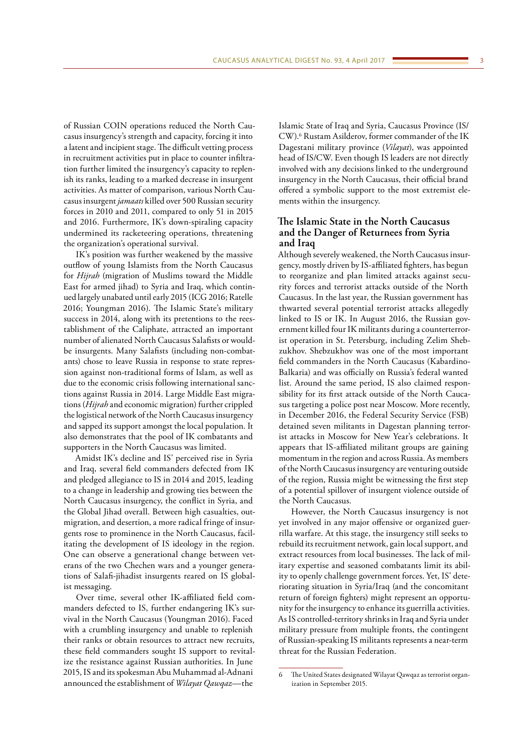of Russian COIN operations reduced the North Caucasus insurgency's strength and capacity, forcing it into a latent and incipient stage. The difficult vetting process in recruitment activities put in place to counter infiltration further limited the insurgency's capacity to replenish its ranks, leading to a marked decrease in insurgent activities. As matter of comparison, various North Caucasus insurgent *jamaats* killed over 500 Russian security forces in 2010 and 2011, compared to only 51 in 2015 and 2016. Furthermore, IK's down-spiraling capacity undermined its racketeering operations, threatening the organization's operational survival.

IK's position was further weakened by the massive outflow of young Islamists from the North Caucasus for *Hijrah* (migration of Muslims toward the Middle East for armed jihad) to Syria and Iraq, which continued largely unabated until early 2015 (ICG 2016; Ratelle 2016; Youngman 2016). The Islamic State's military success in 2014, along with its pretentions to the reestablishment of the Caliphate, attracted an important number of alienated North Caucasus Salafists or wouldbe insurgents. Many Salafists (including non-combatants) chose to leave Russia in response to state repression against non-traditional forms of Islam, as well as due to the economic crisis following international sanctions against Russia in 2014. Large Middle East migrations (*Hijrah* and economic migration) further crippled the logistical network of the North Caucasus insurgency and sapped its support amongst the local population. It also demonstrates that the pool of IK combatants and supporters in the North Caucasus was limited.

Amidst IK's decline and IS' perceived rise in Syria and Iraq, several field commanders defected from IK and pledged allegiance to IS in 2014 and 2015, leading to a change in leadership and growing ties between the North Caucasus insurgency, the conflict in Syria, and the Global Jihad overall. Between high casualties, outmigration, and desertion, a more radical fringe of insurgents rose to prominence in the North Caucasus, facilitating the development of IS ideology in the region. One can observe a generational change between veterans of the two Chechen wars and a younger generations of Salafi-jihadist insurgents reared on IS globalist messaging.

Over time, several other IK-affiliated field commanders defected to IS, further endangering IK's survival in the North Caucasus (Youngman 2016). Faced with a crumbling insurgency and unable to replenish their ranks or obtain resources to attract new recruits, these field commanders sought IS support to revitalize the resistance against Russian authorities. In June 2015, IS and its spokesman Abu Muhammad al-Adnani announced the establishment of *Wilayat Qawqaz—*the

Islamic State of Iraq and Syria, Caucasus Province (IS/ CW).<sup>6</sup> Rustam Asilderov, former commander of the IK Dagestani military province (*Vilayat*), was appointed head of IS/CW. Even though IS leaders are not directly involved with any decisions linked to the underground insurgency in the North Caucasus, their official brand offered a symbolic support to the most extremist elements within the insurgency.

# **The Islamic State in the North Caucasus and the Danger of Returnees from Syria and Iraq**

Although severely weakened, the North Caucasus insurgency, mostly driven by IS-affiliated fighters, has begun to reorganize and plan limited attacks against security forces and terrorist attacks outside of the North Caucasus. In the last year, the Russian government has thwarted several potential terrorist attacks allegedly linked to IS or IK. In August 2016, the Russian government killed four IK militants during a counterterrorist operation in St. Petersburg, including Zelim Shebzukhov. Shebzukhov was one of the most important field commanders in the North Caucasus (Kabardino-Balkaria) and was officially on Russia's federal wanted list. Around the same period, IS also claimed responsibility for its first attack outside of the North Caucasus targeting a police post near Moscow. More recently, in December 2016, the Federal Security Service (FSB) detained seven militants in Dagestan planning terrorist attacks in Moscow for New Year's celebrations. It appears that IS-affiliated militant groups are gaining momentum in the region and across Russia. As members of the North Caucasus insurgency are venturing outside of the region, Russia might be witnessing the first step of a potential spillover of insurgent violence outside of the North Caucasus.

However, the North Caucasus insurgency is not yet involved in any major offensive or organized guerrilla warfare. At this stage, the insurgency still seeks to rebuild its recruitment network, gain local support, and extract resources from local businesses. The lack of military expertise and seasoned combatants limit its ability to openly challenge government forces. Yet, IS' deteriorating situation in Syria/Iraq (and the concomitant return of foreign fighters) might represent an opportunity for the insurgency to enhance its guerrilla activities. As IS controlled-territory shrinks in Iraq and Syria under military pressure from multiple fronts, the contingent of Russian-speaking IS militants represents a near-term threat for the Russian Federation.

The United States designated Wilayat Qawqaz as terrorist organization in September 2015.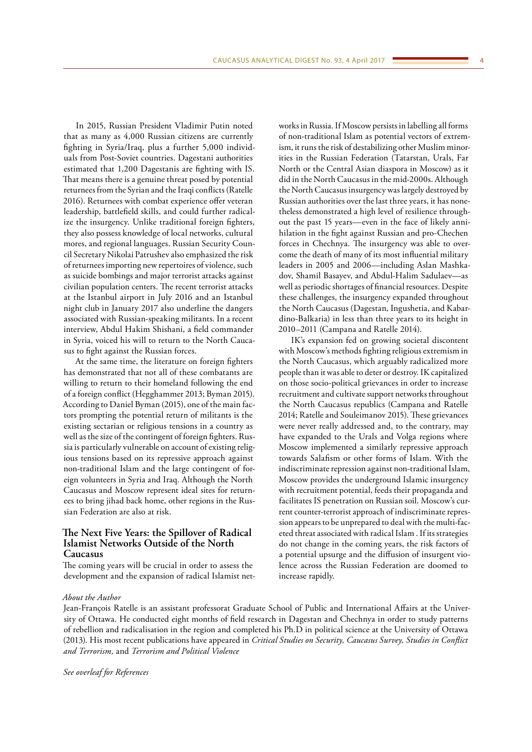In 2015, Russian President Vladimir Putin noted that as many as 4,000 Russian citizens are currently fighting in Syria/Iraq, plus a further 5,000 individuals from Post-Soviet countries. Dagestani authorities estimated that 1,200 Dagestanis are fighting with IS. That means there is a genuine threat posed by potential returnees from the Syrian and the Iraqi conflicts (Ratelle 2016). Returnees with combat experience offer veteran leadership, battlefield skills, and could further radicalize the insurgency. Unlike traditional foreign fighters, they also possess knowledge of local networks, cultural mores, and regional languages. Russian Security Council Secretary Nikolai Patrushev also emphasized the risk of returnees importing new repertoires of violence, such as suicide bombings and major terrorist attacks against civilian population centers. The recent terrorist attacks at the Istanbul airport in July 2016 and an Istanbul night club in January 2017 also underline the dangers associated with Russian-speaking militants. In a recent interview, Abdul Hakim Shishani, a field commander in Syria, voiced his will to return to the North Caucasus to fight against the Russian forces.

At the same time, the literature on foreign fighters has demonstrated that not all of these combatants are willing to return to their homeland following the end of a foreign conflict (Hegghammer 2013; Byman 2015). According to Daniel Byman (2015), one of the main factors prompting the potential return of militants is the existing sectarian or religious tensions in a country as well as the size of the contingent of foreign fighters. Russia is particularly vulnerable on account of existing religious tensions based on its repressive approach against non-traditional Islam and the large contingent of foreign volunteers in Syria and Iraq. Although the North Caucasus and Moscow represent ideal sites for returnees to bring jihad back home, other regions in the Russian Federation are also at risk.

# **The Next Five Years: the Spillover of Radical Islamist Networks Outside of the North Caucasus**

The coming years will be crucial in order to assess the development and the expansion of radical Islamist networks in Russia. If Moscow persists in labelling all forms of non-traditional Islam as potential vectors of extremism, it runs the risk of destabilizing other Muslim minorities in the Russian Federation (Tatarstan, Urals, Far North or the Central Asian diaspora in Moscow) as it did in the North Caucasus in the mid-2000s. Although the North Caucasus insurgency was largely destroyed by Russian authorities over the last three years, it has nonetheless demonstrated a high level of resilience throughout the past 15 years—even in the face of likely annihilation in the fight against Russian and pro-Chechen forces in Chechnya. The insurgency was able to overcome the death of many of its most influential military leaders in 2005 and 2006—including Aslan Mashkadov, Shamil Basayev, and Abdul-Halim Sadulaev—as well as periodic shortages of financial resources. Despite these challenges, the insurgency expanded throughout the North Caucasus (Dagestan, Ingushetia, and Kabardino-Balkaria) in less than three years to its height in 2010–2011 (Campana and Ratelle 2014).

IK's expansion fed on growing societal discontent with Moscow's methods fighting religious extremism in the North Caucasus, which arguably radicalized more people than it was able to deter or destroy. IK capitalized on those socio-political grievances in order to increase recruitment and cultivate support networks throughout the North Caucasus republics (Campana and Ratelle 2014; Ratelle and Souleimanov 2015). These grievances were never really addressed and, to the contrary, may have expanded to the Urals and Volga regions where Moscow implemented a similarly repressive approach towards Salafism or other forms of Islam. With the indiscriminate repression against non-traditional Islam, Moscow provides the underground Islamic insurgency with recruitment potential, feeds their propaganda and facilitates IS penetration on Russian soil. Moscow's current counter-terrorist approach of indiscriminate repression appears to be unprepared to deal with the multi-faceted threat associated with radical Islam . If its strategies do not change in the coming years, the risk factors of a potential upsurge and the diffusion of insurgent violence across the Russian Federation are doomed to increase rapidly.

#### *About the Author*

Jean-François Ratelle is an assistant professorat Graduate School of Public and International Affairs at the University of Ottawa. He conducted eight months of field research in Dagestan and Chechnya in order to study patterns of rebellion and radicalisation in the region and completed his Ph.D in political science at the University of Ottawa (2013). His most recent publications have appeared in *Critical Studies on Security, Caucasus Survey, Studies in Conflict and Terrorism,* and *Terrorism and Political Violence*

*See overleaf for References*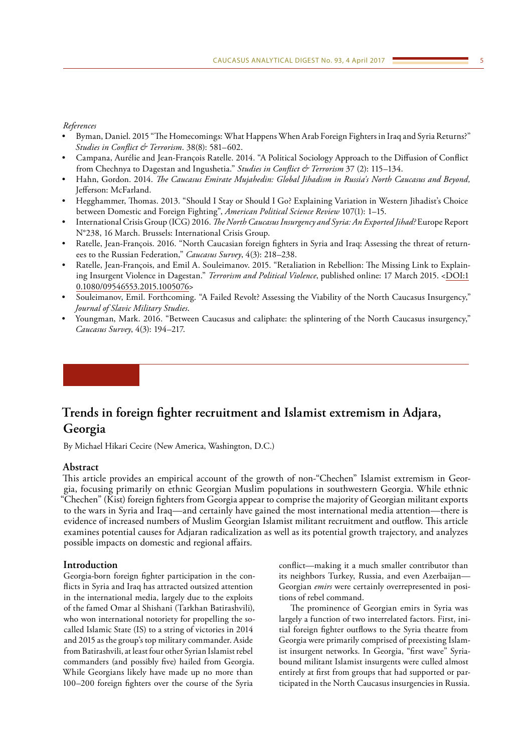<span id="page-4-0"></span>*References*

- Byman, Daniel. 2015 "The Homecomings: What Happens When Arab Foreign Fighters in Iraq and Syria Returns?" *Studies in Conflict & Terrorism*. 38(8): 581–602.
- Campana, Aurélie and Jean-François Ratelle. 2014. "A Political Sociology Approach to the Diffusion of Conflict from Chechnya to Dagestan and Ingushetia." *Studies in Conflict & Terrorism* 37 (2): 115–134.
- Hahn, Gordon. 2014. *The Caucasus Emirate Mujahedin: Global Jihadism in Russia's North Caucasus and Beyond,*  Jefferson: McFarland.
- Hegghammer, Thomas. 2013. "Should I Stay or Should I Go? Explaining Variation in Western Jihadist's Choice between Domestic and Foreign Fighting", *American Political Science Review* 107(1): 1–15.
- International Crisis Group (ICG) 2016. *The North Caucasus Insurgency and Syria: An Exported Jihad?* Europe Report N°238, 16 March. Brussels: International Crisis Group.
- Ratelle, Jean-François. 2016. "North Caucasian foreign fighters in Syria and Iraq: Assessing the threat of returnees to the Russian Federation," *Caucasus Survey*, 4(3): 218–238.
- Ratelle, Jean-François, and Emil A. Souleimanov. 2015. "Retaliation in Rebellion: The Missing Link to Explaining Insurgent Violence in Dagestan." *Terrorism and Political Violence*, published online: 17 March 2015. <[DOI:1](http://dx.doi.org/10.1080/09546553.2015.1005076) [0.1080/09546553.2015.1005076](http://dx.doi.org/10.1080/09546553.2015.1005076)>
- Souleimanov, Emil. Forthcoming. "A Failed Revolt? Assessing the Viability of the North Caucasus Insurgency," *Journal of Slavic Military Studies*.
- Youngman, Mark. 2016. "Between Caucasus and caliphate: the splintering of the North Caucasus insurgency," *Caucasus Survey*, 4(3): 194–217.

# **Trends in foreign fighter recruitment and Islamist extremism in Adjara, Georgia**

By Michael Hikari Cecire (New America, Washington, D.C.)

# **Abstract**

This article provides an empirical account of the growth of non-"Chechen" Islamist extremism in Georgia, focusing primarily on ethnic Georgian Muslim populations in southwestern Georgia. While ethnic "Chechen" (Kist) foreign fighters from Georgia appear to comprise the majority of Georgian militant exports to the wars in Syria and Iraq—and certainly have gained the most international media attention—there is evidence of increased numbers of Muslim Georgian Islamist militant recruitment and outflow. This article examines potential causes for Adjaran radicalization as well as its potential growth trajectory, and analyzes possible impacts on domestic and regional affairs.

# **Introduction**

Georgia-born foreign fighter participation in the conflicts in Syria and Iraq has attracted outsized attention in the international media, largely due to the exploits of the famed Omar al Shishani (Tarkhan Batirashvili), who won international notoriety for propelling the socalled Islamic State (IS) to a string of victories in 2014 and 2015 as the group's top military commander. Aside from Batirashvili, at least four other Syrian Islamist rebel commanders (and possibly five) hailed from Georgia. While Georgians likely have made up no more than 100–200 foreign fighters over the course of the Syria

conflict—making it a much smaller contributor than its neighbors Turkey, Russia, and even Azerbaijan— Georgian *emirs* were certainly overrepresented in positions of rebel command.

The prominence of Georgian emirs in Syria was largely a function of two interrelated factors. First, initial foreign fighter outflows to the Syria theatre from Georgia were primarily comprised of preexisting Islamist insurgent networks. In Georgia, "first wave" Syriabound militant Islamist insurgents were culled almost entirely at first from groups that had supported or participated in the North Caucasus insurgencies in Russia.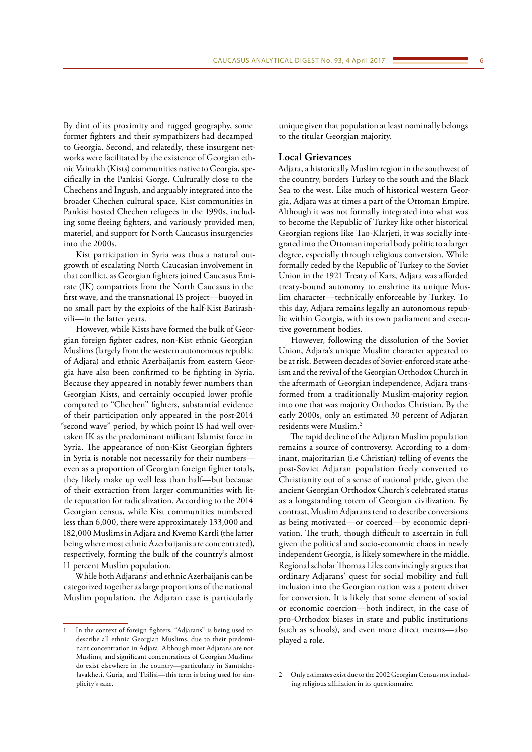By dint of its proximity and rugged geography, some former fighters and their sympathizers had decamped to Georgia. Second, and relatedly, these insurgent networks were facilitated by the existence of Georgian ethnic Vainakh (Kists) communities native to Georgia, specifically in the Pankisi Gorge. Culturally close to the Chechens and Ingush, and arguably integrated into the broader Chechen cultural space, Kist communities in Pankisi hosted Chechen refugees in the 1990s, including some fleeing fighters, and variously provided men, materiel, and support for North Caucasus insurgencies into the 2000s.

Kist participation in Syria was thus a natural outgrowth of escalating North Caucasian involvement in that conflict, as Georgian fighters joined Caucasus Emirate (IK) compatriots from the North Caucasus in the first wave, and the transnational IS project—buoyed in no small part by the exploits of the half-Kist Batirashvili—in the latter years.

However, while Kists have formed the bulk of Georgian foreign fighter cadres, non-Kist ethnic Georgian Muslims (largely from the western autonomous republic of Adjara) and ethnic Azerbaijanis from eastern Georgia have also been confirmed to be fighting in Syria. Because they appeared in notably fewer numbers than Georgian Kists, and certainly occupied lower profile compared to "Chechen" fighters, substantial evidence of their participation only appeared in the post-2014 "second wave" period, by which point IS had well overtaken IK as the predominant militant Islamist force in Syria. The appearance of non-Kist Georgian fighters in Syria is notable not necessarily for their numbers even as a proportion of Georgian foreign fighter totals, they likely make up well less than half—but because of their extraction from larger communities with little reputation for radicalization. According to the 2014 Georgian census, while Kist communities numbered less than 6,000, there were approximately 133,000 and 182,000 Muslims in Adjara and Kvemo Kartli (the latter being where most ethnic Azerbaijanis are concentrated), respectively, forming the bulk of the country's almost 11 percent Muslim population.

While both Adjarans<sup>1</sup> and ethnic Azerbaijanis can be categorized together as large proportions of the national Muslim population, the Adjaran case is particularly

unique given that population at least nominally belongs to the titular Georgian majority.

#### **Local Grievances**

Adjara, a historically Muslim region in the southwest of the country, borders Turkey to the south and the Black Sea to the west. Like much of historical western Georgia, Adjara was at times a part of the Ottoman Empire. Although it was not formally integrated into what was to become the Republic of Turkey like other historical Georgian regions like Tao-Klarjeti, it was socially integrated into the Ottoman imperial body politic to a larger degree, especially through religious conversion. While formally ceded by the Republic of Turkey to the Soviet Union in the 1921 Treaty of Kars, Adjara was afforded treaty-bound autonomy to enshrine its unique Muslim character—technically enforceable by Turkey. To this day, Adjara remains legally an autonomous republic within Georgia, with its own parliament and executive government bodies.

However, following the dissolution of the Soviet Union, Adjara's unique Muslim character appeared to be at risk. Between decades of Soviet-enforced state atheism and the revival of the Georgian Orthodox Church in the aftermath of Georgian independence, Adjara transformed from a traditionally Muslim-majority region into one that was majority Orthodox Christian. By the early 2000s, only an estimated 30 percent of Adjaran residents were Muslim.2

The rapid decline of the Adjaran Muslim population remains a source of controversy. According to a dominant, majoritarian (i.e Christian) telling of events the post-Soviet Adjaran population freely converted to Christianity out of a sense of national pride, given the ancient Georgian Orthodox Church's celebrated status as a longstanding totem of Georgian civilization. By contrast, Muslim Adjarans tend to describe conversions as being motivated—or coerced—by economic deprivation. The truth, though difficult to ascertain in full given the political and socio-economic chaos in newly independent Georgia, is likely somewhere in the middle. Regional scholar Thomas Liles convincingly argues that ordinary Adjarans' quest for social mobility and full inclusion into the Georgian nation was a potent driver for conversion. It is likely that some element of social or economic coercion—both indirect, in the case of pro-Orthodox biases in state and public institutions (such as schools), and even more direct means—also played a role.

<sup>1</sup> In the context of foreign fighters, "Adjarans" is being used to describe all ethnic Georgian Muslims, due to their predominant concentration in Adjara. Although most Adjarans are not Muslims, and significant concentrations of Georgian Muslims do exist elsewhere in the country—particularly in Samtskhe-Javakheti, Guria, and Tbilisi—this term is being used for simplicity's sake.

<sup>2</sup> Only estimates exist due to the 2002 Georgian Census not including religious affiliation in its questionnaire.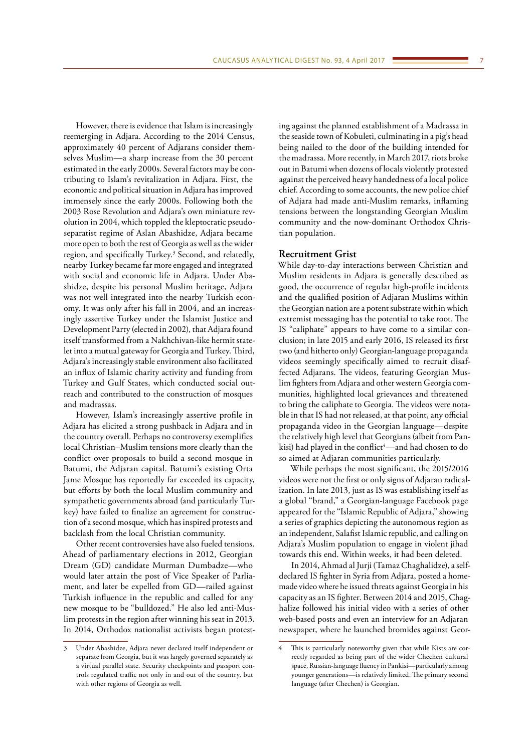However, there is evidence that Islam is increasingly reemerging in Adjara. According to the 2014 Census, approximately 40 percent of Adjarans consider themselves Muslim—a sharp increase from the 30 percent estimated in the early 2000s. Several factors may be contributing to Islam's revitalization in Adjara. First, the economic and political situation in Adjara has improved immensely since the early 2000s. Following both the 2003 Rose Revolution and Adjara's own miniature revolution in 2004, which toppled the kleptocratic pseudoseparatist regime of Aslan Abashidze, Adjara became more open to both the rest of Georgia as well as the wider region, and specifically Turkey.3 Second, and relatedly, nearby Turkey became far more engaged and integrated with social and economic life in Adjara. Under Abashidze, despite his personal Muslim heritage, Adjara was not well integrated into the nearby Turkish economy. It was only after his fall in 2004, and an increasingly assertive Turkey under the Islamist Justice and Development Party (elected in 2002), that Adjara found itself transformed from a Nakhchivan-like hermit statelet into a mutual gateway for Georgia and Turkey. Third, Adjara's increasingly stable environment also facilitated an influx of Islamic charity activity and funding from Turkey and Gulf States, which conducted social outreach and contributed to the construction of mosques and madrassas.

However, Islam's increasingly assertive profile in Adjara has elicited a strong pushback in Adjara and in the country overall. Perhaps no controversy exemplifies local Christian–Muslim tensions more clearly than the conflict over proposals to build a second mosque in Batumi, the Adjaran capital. Batumi's existing Orta Jame Mosque has reportedly far exceeded its capacity, but efforts by both the local Muslim community and sympathetic governments abroad (and particularly Turkey) have failed to finalize an agreement for construction of a second mosque, which has inspired protests and backlash from the local Christian community.

Other recent controversies have also fueled tensions. Ahead of parliamentary elections in 2012, Georgian Dream (GD) candidate Murman Dumbadze—who would later attain the post of Vice Speaker of Parliament, and later be expelled from GD—railed against Turkish influence in the republic and called for any new mosque to be "bulldozed." He also led anti-Muslim protests in the region after winning his seat in 2013. In 2014, Orthodox nationalist activists began protesting against the planned establishment of a Madrassa in the seaside town of Kobuleti, culminating in a pig's head being nailed to the door of the building intended for the madrassa. More recently, in March 2017, riots broke out in Batumi when dozens of locals violently protested against the perceived heavy handedness of a local police chief. According to some accounts, the new police chief of Adjara had made anti-Muslim remarks, inflaming tensions between the longstanding Georgian Muslim community and the now-dominant Orthodox Christian population.

### **Recruitment Grist**

While day-to-day interactions between Christian and Muslim residents in Adjara is generally described as good, the occurrence of regular high-profile incidents and the qualified position of Adjaran Muslims within the Georgian nation are a potent substrate within which extremist messaging has the potential to take root. The IS "caliphate" appears to have come to a similar conclusion; in late 2015 and early 2016, IS released its first two (and hitherto only) Georgian-language propaganda videos seemingly specifically aimed to recruit disaffected Adjarans. The videos, featuring Georgian Muslim fighters from Adjara and other western Georgia communities, highlighted local grievances and threatened to bring the caliphate to Georgia. The videos were notable in that IS had not released, at that point, any official propaganda video in the Georgian language—despite the relatively high level that Georgians (albeit from Pankisi) had played in the conflict<sup>4</sup>—and had chosen to do so aimed at Adjaran communities particularly.

While perhaps the most significant, the 2015/2016 videos were not the first or only signs of Adjaran radicalization. In late 2013, just as IS was establishing itself as a global "brand," a Georgian-language Facebook page appeared for the "Islamic Republic of Adjara," showing a series of graphics depicting the autonomous region as an independent, Salafist Islamic republic, and calling on Adjara's Muslim population to engage in violent jihad towards this end. Within weeks, it had been deleted.

In 2014, Ahmad al Jurji (Tamaz Chaghalidze), a selfdeclared IS fighter in Syria from Adjara, posted a homemade video where he issued threats against Georgia in his capacity as an IS fighter. Between 2014 and 2015, Chaghalize followed his initial video with a series of other web-based posts and even an interview for an Adjaran newspaper, where he launched bromides against Geor-

<sup>3</sup> Under Abashidze, Adjara never declared itself independent or separate from Georgia, but it was largely governed separately as a virtual parallel state. Security checkpoints and passport controls regulated traffic not only in and out of the country, but with other regions of Georgia as well.

<sup>4</sup> This is particularly noteworthy given that while Kists are correctly regarded as being part of the wider Chechen cultural space, Russian-language fluency in Pankisi—particularly among younger generations—is relatively limited. The primary second language (after Chechen) is Georgian.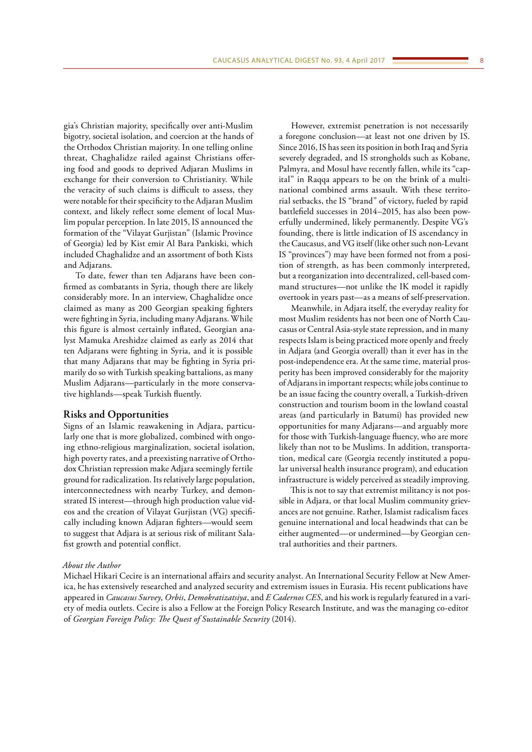gia's Christian majority, specifically over anti-Muslim bigotry, societal isolation, and coercion at the hands of the Orthodox Christian majority. In one telling online threat, Chaghalidze railed against Christians offering food and goods to deprived Adjaran Muslims in exchange for their conversion to Christianity. While the veracity of such claims is difficult to assess, they were notable for their specificity to the Adjaran Muslim context, and likely reflect some element of local Muslim popular perception. In late 2015, IS announced the formation of the "Vilayat Gurjistan" (Islamic Province of Georgia) led by Kist emir Al Bara Pankiski, which included Chaghalidze and an assortment of both Kists and Adjarans.

To date, fewer than ten Adjarans have been confirmed as combatants in Syria, though there are likely considerably more. In an interview, Chaghalidze once claimed as many as 200 Georgian speaking fighters were fighting in Syria, including many Adjarans. While this figure is almost certainly inflated, Georgian analyst Mamuka Areshidze claimed as early as 2014 that ten Adjarans were fighting in Syria, and it is possible that many Adjarans that may be fighting in Syria primarily do so with Turkish speaking battalions, as many Muslim Adjarans—particularly in the more conservative highlands—speak Turkish fluently.

# **Risks and Opportunities**

Signs of an Islamic reawakening in Adjara, particularly one that is more globalized, combined with ongoing ethno-religious marginalization, societal isolation, high poverty rates, and a preexisting narrative of Orthodox Christian repression make Adjara seemingly fertile ground for radicalization. Its relatively large population, interconnectedness with nearby Turkey, and demonstrated IS interest—through high production value videos and the creation of Vilayat Gurjistan (VG) specifically including known Adjaran fighters—would seem to suggest that Adjara is at serious risk of militant Salafist growth and potential conflict.

However, extremist penetration is not necessarily a foregone conclusion—at least not one driven by IS. Since 2016, IS has seen its position in both Iraq and Syria severely degraded, and IS strongholds such as Kobane, Palmyra, and Mosul have recently fallen, while its "capital" in Raqqa appears to be on the brink of a multinational combined arms assault. With these territorial setbacks, the IS "brand" of victory, fueled by rapid battlefield successes in 2014–2015, has also been powerfully undermined, likely permanently. Despite VG's founding, there is little indication of IS ascendancy in the Caucasus, and VG itself (like other such non-Levant IS "provinces") may have been formed not from a position of strength, as has been commonly interpreted, but a reorganization into decentralized, cell-based command structures—not unlike the IK model it rapidly overtook in years past—as a means of self-preservation.

Meanwhile, in Adjara itself, the everyday reality for most Muslim residents has not been one of North Caucasus or Central Asia-style state repression, and in many respects Islam is being practiced more openly and freely in Adjara (and Georgia overall) than it ever has in the post-independence era. At the same time, material prosperity has been improved considerably for the majority of Adjarans in important respects; while jobs continue to be an issue facing the country overall, a Turkish-driven construction and tourism boom in the lowland coastal areas (and particularly in Batumi) has provided new opportunities for many Adjarans—and arguably more for those with Turkish-language fluency, who are more likely than not to be Muslims. In addition, transportation, medical care (Georgia recently instituted a popular universal health insurance program), and education infrastructure is widely perceived as steadily improving.

This is not to say that extremist militancy is not possible in Adjara, or that local Muslim community grievances are not genuine. Rather, Islamist radicalism faces genuine international and local headwinds that can be either augmented—or undermined—by Georgian central authorities and their partners.

### *About the Author*

Michael Hikari Cecire is an international affairs and security analyst. An International Security Fellow at New America, he has extensively researched and analyzed security and extremism issues in Eurasia. His recent publications have appeared in *Caucasus Survey*, *Orbis*, *Demokratizatsiya*, and *E Cadernos CES*, and his work is regularly featured in a variety of media outlets. Cecire is also a Fellow at the Foreign Policy Research Institute, and was the managing co-editor of *Georgian Foreign Policy: The Quest of Sustainable Security* (2014).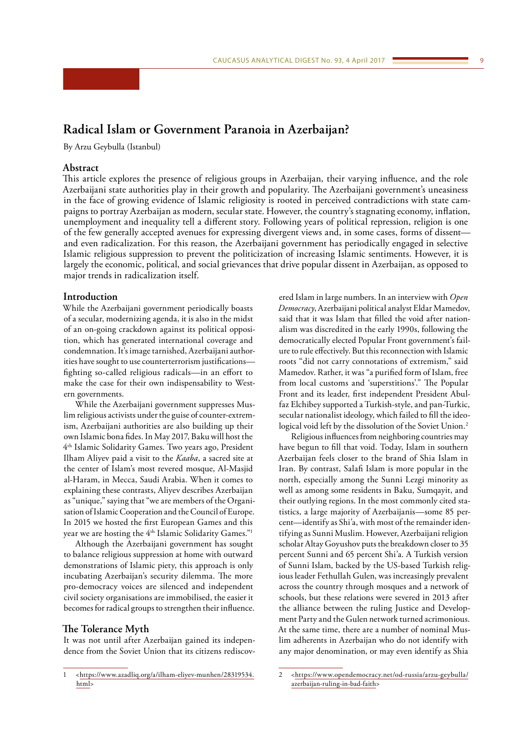# <span id="page-8-0"></span>**Radical Islam or Government Paranoia in Azerbaijan?**

By Arzu Geybulla (Istanbul)

# **Abstract**

This article explores the presence of religious groups in Azerbaijan, their varying influence, and the role Azerbaijani state authorities play in their growth and popularity. The Azerbaijani government's uneasiness in the face of growing evidence of Islamic religiosity is rooted in perceived contradictions with state campaigns to portray Azerbaijan as modern, secular state. However, the country's stagnating economy, inflation, unemployment and inequality tell a different story. Following years of political repression, religion is one of the few generally accepted avenues for expressing divergent views and, in some cases, forms of dissent and even radicalization. For this reason, the Azerbaijani government has periodically engaged in selective Islamic religious suppression to prevent the politicization of increasing Islamic sentiments. However, it is largely the economic, political, and social grievances that drive popular dissent in Azerbaijan, as opposed to major trends in radicalization itself.

# **Introduction**

While the Azerbaijani government periodically boasts of a secular, modernizing agenda, it is also in the midst of an on-going crackdown against its political opposition, which has generated international coverage and condemnation. It's image tarnished, Azerbaijani authorities have sought to use counterterrorism justifications fighting so-called religious radicals—in an effort to make the case for their own indispensability to Western governments.

While the Azerbaijani government suppresses Muslim religious activists under the guise of counter-extremism, Azerbaijani authorities are also building up their own Islamic bona fides. In May 2017, Baku will host the 4th Islamic Solidarity Games. Two years ago, President Ilham Aliyev paid a visit to the *Kaaba*, a sacred site at the center of Islam's most revered mosque, Al-Masjid al-Haram, in Mecca, Saudi Arabia. When it comes to explaining these contrasts, Aliyev describes Azerbaijan as "unique," saying that "we are members of the Organisation of Islamic Cooperation and the Council of Europe. In 2015 we hosted the first European Games and this year we are hosting the 4<sup>th</sup> Islamic Solidarity Games."<sup>1</sup>

Although the Azerbaijani government has sought to balance religious suppression at home with outward demonstrations of Islamic piety, this approach is only incubating Azerbaijan's security dilemma. The more pro-democracy voices are silenced and independent civil society organisations are immobilised, the easier it becomes for radical groups to strengthen their influence.

### **The Tolerance Myth**

It was not until after Azerbaijan gained its independence from the Soviet Union that its citizens rediscovered Islam in large numbers. In an interview with *Open Democracy*, Azerbaijani political analyst Eldar Mamedov, said that it was Islam that filled the void after nationalism was discredited in the early 1990s, following the democratically elected Popular Front government's failure to rule effectively. But this reconnection with Islamic roots "did not carry connotations of extremism," said Mamedov. Rather, it was "a purified form of Islam, free from local customs and 'superstitions'." The Popular Front and its leader, first independent President Abulfaz Elchibey supported a Turkish-style, and pan-Turkic, secular nationalist ideology, which failed to fill the ideological void left by the dissolution of the Soviet Union.<sup>2</sup>

Religious influences from neighboring countries may have begun to fill that void. Today, Islam in southern Azerbaijan feels closer to the brand of Shia Islam in Iran. By contrast, Salafi Islam is more popular in the north, especially among the Sunni Lezgi minority as well as among some residents in Baku, Sumqayit, and their outlying regions. In the most commonly cited statistics, a large majority of Azerbaijanis—some 85 percent—identify as Shi'a, with most of the remainder identifying as Sunni Muslim. However, Azerbaijani religion scholar Altay Goyushov puts the breakdown closer to 35 percent Sunni and 65 percent Shi'a. A Turkish version of Sunni Islam, backed by the US-based Turkish religious leader Fethullah Gulen, was increasingly prevalent across the country through mosques and a network of schools, but these relations were severed in 2013 after the alliance between the ruling Justice and Development Party and the Gulen network turned acrimonious. At the same time, there are a number of nominal Muslim adherents in Azerbaijan who do not identify with any major denomination, or may even identify as Shia

<sup>1</sup> <[https://www.azadliq.org/a/ilham-eliyev-munhen/28319534.](https://www.azadliq.org/a/ilham-eliyev-munhen/28319534.html) [html>](https://www.azadliq.org/a/ilham-eliyev-munhen/28319534.html)

<sup>2</sup> <[https://www.opendemocracy.net/od-russia/arzu-geybulla/](https://www.opendemocracy.net/od-russia/arzu-geybulla/azerbaijan-ruling-in-bad-faith) [azerbaijan-ruling-in-bad-faith](https://www.opendemocracy.net/od-russia/arzu-geybulla/azerbaijan-ruling-in-bad-faith)>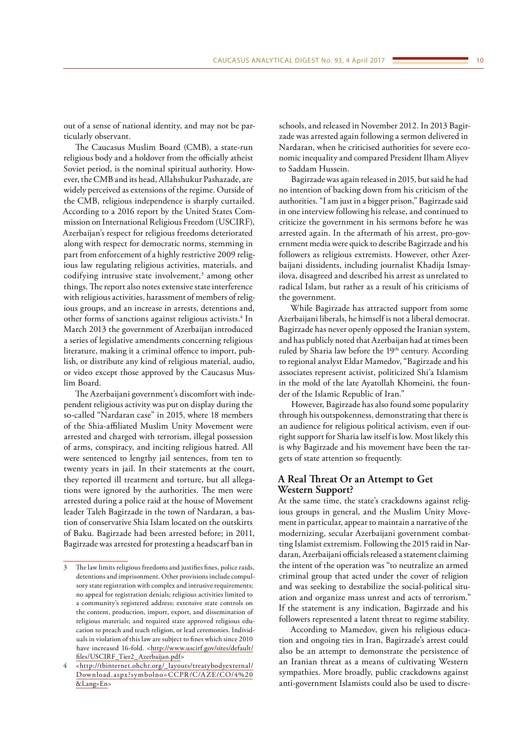out of a sense of national identity, and may not be particularly observant.

The Caucasus Muslim Board (CMB), a state-run religious body and a holdover from the officially atheist Soviet period, is the nominal spiritual authority. However, the CMB and its head, Allahshukur Pashazade, are widely perceived as extensions of the regime. Outside of the CMB, religious independence is sharply curtailed. According to a 2016 report by the United States Commission on International Religious Freedom (USCIRF), Azerbaijan's respect for religious freedoms deteriorated along with respect for democratic norms, stemming in part from enforcement of a highly restrictive 2009 religious law regulating religious activities, materials, and codifying intrusive state involvement, $3$  among other things. The report also notes extensive state interference with religious activities, harassment of members of religious groups, and an increase in arrests, detentions and, other forms of sanctions against religious activists.<sup>4</sup> In March 2013 the government of Azerbaijan introduced a series of legislative amendments concerning religious literature, making it a criminal offence to import, publish, or distribute any kind of religious material, audio, or video except those approved by the Caucasus Muslim Board.

The Azerbaijani government's discomfort with independent religious activity was put on display during the so-called "Nardaran case" in 2015, where 18 members of the Shia-affiliated Muslim Unity Movement were arrested and charged with terrorism, illegal possession of arms, conspiracy, and inciting religious hatred. All were sentenced to lengthy jail sentences, from ten to twenty years in jail. In their statements at the court, they reported ill treatment and torture, but all allegations were ignored by the authorities. The men were arrested during a police raid at the house of Movement leader Taleh Bagirzade in the town of Nardaran, a bastion of conservative Shia Islam located on the outskirts of Baku. Bagirzade had been arrested before; in 2011, Bagirzade was arrested for protesting a headscarf ban in

schools, and released in November 2012. In 2013 Bagirzade was arrested again following a sermon delivered in Nardaran, when he criticised authorities for severe economic inequality and compared President Ilham Aliyev to Saddam Hussein.

Bagirzade was again released in 2015, but said he had no intention of backing down from his criticism of the authorities. "I am just in a bigger prison," Bagirzade said in one interview following his release, and continued to criticize the government in his sermons before he was arrested again. In the aftermath of his arrest, pro-government media were quick to describe Bagirzade and his followers as religious extremists. However, other Azerbaijani dissidents, including journalist Khadija Ismayilova, disagreed and described his arrest as unrelated to radical Islam, but rather as a result of his criticisms of the government.

While Bagirzade has attracted support from some Azerbaijani liberals, he himself is not a liberal democrat. Bagirzade has never openly opposed the Iranian system, and has publicly noted that Azerbaijan had at times been ruled by Sharia law before the 19th century. According to regional analyst Eldar Mamedov, "Bagirzade and his associates represent activist, politicized Shi'a Islamism in the mold of the late Ayatollah Khomeini, the founder of the Islamic Republic of Iran."

However, Bagirzade has also found some popularity through his outspokenness, demonstrating that there is an audience for religious political activism, even if outright support for Sharia law itself is low. Most likely this is why Bagirzade and his movement have been the targets of state attention so frequently.

# **A Real Threat Or an Attempt to Get Western Support?**

At the same time, the state's crackdowns against religious groups in general, and the Muslim Unity Movement in particular, appear to maintain a narrative of the modernizing, secular Azerbaijani government combatting Islamist extremism. Following the 2015 raid in Nardaran, Azerbaijani officials released a statement claiming the intent of the operation was "to neutralize an armed criminal group that acted under the cover of religion and was seeking to destabilize the social-political situation and organize mass unrest and acts of terrorism." If the statement is any indication, Bagirzade and his followers represented a latent threat to regime stability.

According to Mamedov, given his religious education and ongoing ties in Iran, Bagirzade's arrest could also be an attempt to demonstrate the persistence of an Iranian threat as a means of cultivating Western sympathies. More broadly, public crackdowns against anti-government Islamists could also be used to discre-

<sup>3</sup> The law limits religious freedoms and justifies fines, police raids, detentions and imprisonment. Other provisions include compulsory state registration with complex and intrusive requirements; no appeal for registration denials; religious activities limited to a community's registered address; extensive state controls on the content, production, import, export, and dissemination of religious materials; and required state approved religious education to preach and teach religion, or lead ceremonies. Individuals in violation of this law are subject to fines which since 2010 have increased 16-fold. <[http://www.uscirf.gov/sites/default/](http://www.uscirf.gov/sites/default/files/USCIRF_Tier2_Azerbaijan.pdf) [files/USCIRF\\_Tier2\\_Azerbaijan.pdf](http://www.uscirf.gov/sites/default/files/USCIRF_Tier2_Azerbaijan.pdf)>

<sup>4</sup> <[http://tbinternet.ohchr.org/\\_layouts/treatybodyexternal/](http://tbinternet.ohchr.org/_layouts/treatybodyexternal/Download.aspx?symbolno=CCPR/C/AZE/CO/4%2520&Lang=En) [Download.aspx?symbolno=CCPR/C/AZE/CO/4%20](http://tbinternet.ohchr.org/_layouts/treatybodyexternal/Download.aspx?symbolno=CCPR/C/AZE/CO/4%2520&Lang=En) [&Lang=En>](http://tbinternet.ohchr.org/_layouts/treatybodyexternal/Download.aspx?symbolno=CCPR/C/AZE/CO/4%2520&Lang=En)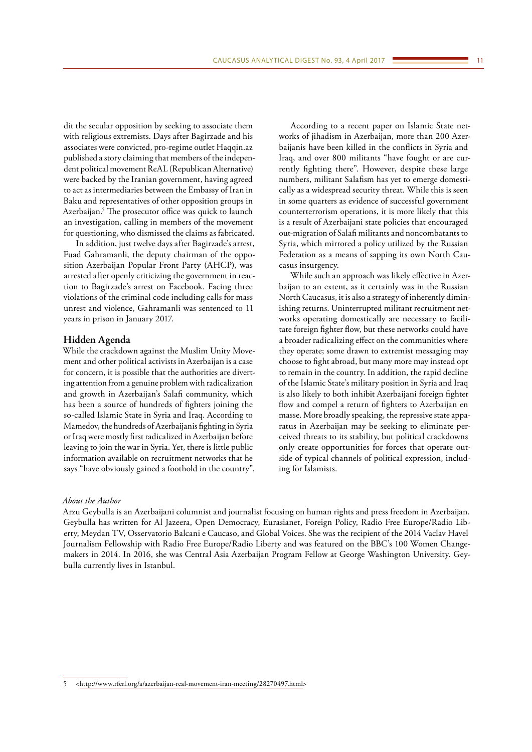dit the secular opposition by seeking to associate them with religious extremists. Days after Bagirzade and his associates were convicted, pro-regime outlet Haqqin.az published a story claiming that members of the independent political movement ReAL (Republican Alternative) were backed by the Iranian government, having agreed to act as intermediaries between the Embassy of Iran in Baku and representatives of other opposition groups in Azerbaijan.5 The prosecutor office was quick to launch an investigation, calling in members of the movement for questioning, who dismissed the claims as fabricated.

In addition, just twelve days after Bagirzade's arrest, Fuad Gahramanli, the deputy chairman of the opposition Azerbaijan Popular Front Party (AHCP), was arrested after openly criticizing the government in reaction to Bagirzade's arrest on Facebook. Facing three violations of the criminal code including calls for mass unrest and violence, Gahramanli was sentenced to 11 years in prison in January 2017.

#### **Hidden Agenda**

While the crackdown against the Muslim Unity Movement and other political activists in Azerbaijan is a case for concern, it is possible that the authorities are diverting attention from a genuine problem with radicalization and growth in Azerbaijan's Salafi community, which has been a source of hundreds of fighters joining the so-called Islamic State in Syria and Iraq. According to Mamedov, the hundreds of Azerbaijanis fighting in Syria or Iraq were mostly first radicalized in Azerbaijan before leaving to join the war in Syria. Yet, there is little public information available on recruitment networks that he says "have obviously gained a foothold in the country".

According to a recent paper on Islamic State networks of jihadism in Azerbaijan, more than 200 Azerbaijanis have been killed in the conflicts in Syria and Iraq, and over 800 militants "have fought or are currently fighting there". However, despite these large numbers, militant Salafism has yet to emerge domestically as a widespread security threat. While this is seen in some quarters as evidence of successful government counterterrorism operations, it is more likely that this is a result of Azerbaijani state policies that encouraged out-migration of Salafi militants and noncombatants to Syria, which mirrored a policy utilized by the Russian Federation as a means of sapping its own North Caucasus insurgency.

While such an approach was likely effective in Azerbaijan to an extent, as it certainly was in the Russian North Caucasus, it is also a strategy of inherently diminishing returns. Uninterrupted militant recruitment networks operating domestically are necessary to facilitate foreign fighter flow, but these networks could have a broader radicalizing effect on the communities where they operate; some drawn to extremist messaging may choose to fight abroad, but many more may instead opt to remain in the country. In addition, the rapid decline of the Islamic State's military position in Syria and Iraq is also likely to both inhibit Azerbaijani foreign fighter flow and compel a return of fighters to Azerbaijan en masse. More broadly speaking, the repressive state apparatus in Azerbaijan may be seeking to eliminate perceived threats to its stability, but political crackdowns only create opportunities for forces that operate outside of typical channels of political expression, including for Islamists.

#### *About the Author*

Arzu Geybulla is an Azerbaijani columnist and journalist focusing on human rights and press freedom in Azerbaijan. Geybulla has written for Al Jazeera, Open Democracy, Eurasianet, Foreign Policy, Radio Free Europe/Radio Liberty, Meydan TV, Osservatorio Balcani e Caucaso, and Global Voices. She was the recipient of the 2014 Vaclav Havel Journalism Fellowship with Radio Free Europe/Radio Liberty and was featured on the BBC's 100 Women Changemakers in 2014. In 2016, she was Central Asia Azerbaijan Program Fellow at George Washington University. Geybulla currently lives in Istanbul.

<sup>5</sup> <<http://www.rferl.org/a/azerbaijan-real-movement-iran-meeting/28270497.html>>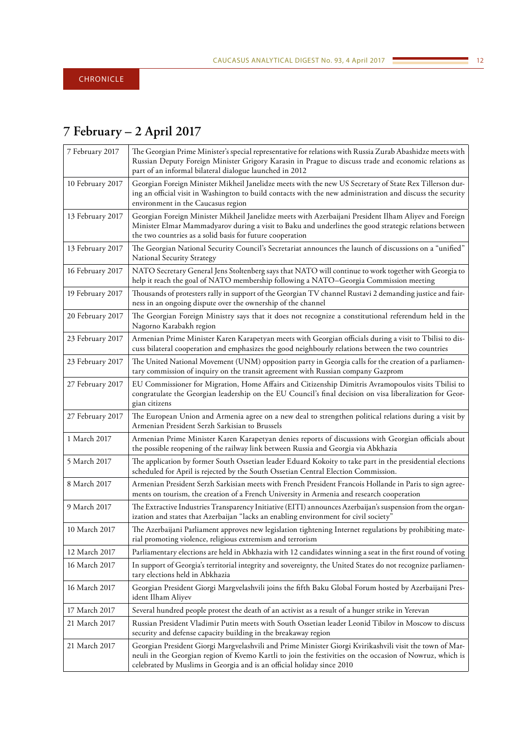# <span id="page-11-0"></span>**7 February – 2 April 2017**

| 7 February 2017  | The Georgian Prime Minister's special representative for relations with Russia Zurab Abashidze meets with<br>Russian Deputy Foreign Minister Grigory Karasin in Prague to discuss trade and economic relations as<br>part of an informal bilateral dialogue launched in 2012                  |
|------------------|-----------------------------------------------------------------------------------------------------------------------------------------------------------------------------------------------------------------------------------------------------------------------------------------------|
| 10 February 2017 | Georgian Foreign Minister Mikheil Janelidze meets with the new US Secretary of State Rex Tillerson dur-<br>ing an official visit in Washington to build contacts with the new administration and discuss the security<br>environment in the Caucasus region                                   |
| 13 February 2017 | Georgian Foreign Minister Mikheil Janelidze meets with Azerbaijani President Ilham Aliyev and Foreign<br>Minister Elmar Mammadyarov during a visit to Baku and underlines the good strategic relations between<br>the two countries as a solid basis for future cooperation                   |
| 13 February 2017 | The Georgian National Security Council's Secretariat announces the launch of discussions on a "unified"<br>National Security Strategy                                                                                                                                                         |
| 16 February 2017 | NATO Secretary General Jens Stoltenberg says that NATO will continue to work together with Georgia to<br>help it reach the goal of NATO membership following a NATO-Georgia Commission meeting                                                                                                |
| 19 February 2017 | Thousands of protesters rally in support of the Georgian TV channel Rustavi 2 demanding justice and fair-<br>ness in an ongoing dispute over the ownership of the channel                                                                                                                     |
| 20 February 2017 | The Georgian Foreign Ministry says that it does not recognize a constitutional referendum held in the<br>Nagorno Karabakh region                                                                                                                                                              |
| 23 February 2017 | Armenian Prime Minister Karen Karapetyan meets with Georgian officials during a visit to Tbilisi to dis-<br>cuss bilateral cooperation and emphasizes the good neighbourly relations between the two countries                                                                                |
| 23 February 2017 | The United National Movement (UNM) opposition party in Georgia calls for the creation of a parliamen-<br>tary commission of inquiry on the transit agreement with Russian company Gazprom                                                                                                     |
| 27 February 2017 | EU Commissioner for Migration, Home Affairs and Citizenship Dimitris Avramopoulos visits Tbilisi to<br>congratulate the Georgian leadership on the EU Council's final decision on visa liberalization for Geor-<br>gian citizens                                                              |
| 27 February 2017 | The European Union and Armenia agree on a new deal to strengthen political relations during a visit by<br>Armenian President Serzh Sarkisian to Brussels                                                                                                                                      |
| 1 March 2017     | Armenian Prime Minister Karen Karapetyan denies reports of discussions with Georgian officials about<br>the possible reopening of the railway link between Russia and Georgia via Abkhazia                                                                                                    |
| 5 March 2017     | The application by former South Ossetian leader Eduard Kokoity to take part in the presidential elections<br>scheduled for April is rejected by the South Ossetian Central Election Commission.                                                                                               |
| 8 March 2017     | Armenian President Serzh Sarkisian meets with French President Francois Hollande in Paris to sign agree-<br>ments on tourism, the creation of a French University in Armenia and research cooperation                                                                                         |
| 9 March 2017     | The Extractive Industries Transparency Initiative (EITI) announces Azerbaijan's suspension from the organ-<br>ization and states that Azerbaijan "lacks an enabling environment for civil society"                                                                                            |
| 10 March 2017    | The Azerbaijani Parliament approves new legislation tightening Internet regulations by prohibiting mate-<br>rial promoting violence, religious extremism and terrorism                                                                                                                        |
| 12 March 2017    | Parliamentary elections are held in Abkhazia with 12 candidates winning a seat in the first round of voting                                                                                                                                                                                   |
| 16 March 2017    | In support of Georgia's territorial integrity and sovereignty, the United States do not recognize parliamen-<br>tary elections held in Abkhazia                                                                                                                                               |
| 16 March 2017    | Georgian President Giorgi Margvelashvili joins the fifth Baku Global Forum hosted by Azerbaijani Pres-<br>ident Ilham Aliyev                                                                                                                                                                  |
| 17 March 2017    | Several hundred people protest the death of an activist as a result of a hunger strike in Yerevan                                                                                                                                                                                             |
| 21 March 2017    | Russian President Vladimir Putin meets with South Ossetian leader Leonid Tibilov in Moscow to discuss<br>security and defense capacity building in the breakaway region                                                                                                                       |
| 21 March 2017    | Georgian President Giorgi Margvelashvili and Prime Minister Giorgi Kvirikashvili visit the town of Mar-<br>neuli in the Georgian region of Kvemo Kartli to join the festivities on the occasion of Nowruz, which is<br>celebrated by Muslims in Georgia and is an official holiday since 2010 |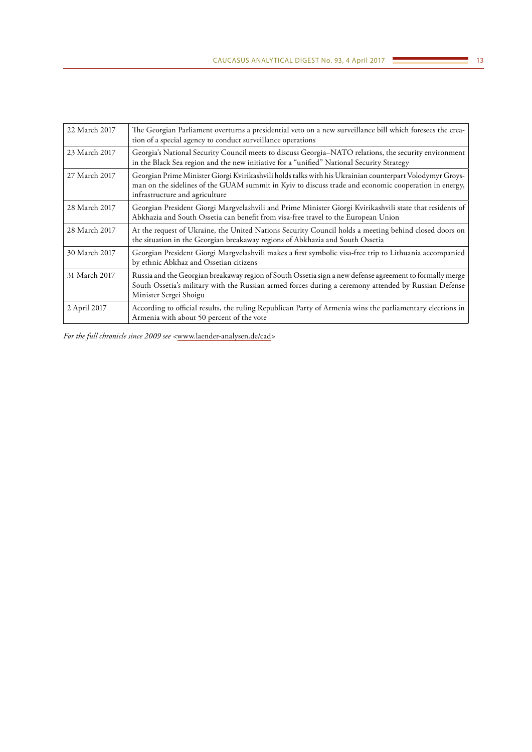| 22 March 2017 | The Georgian Parliament overturns a presidential veto on a new surveillance bill which foresees the crea-<br>tion of a special agency to conduct surveillance operations                                                                           |
|---------------|----------------------------------------------------------------------------------------------------------------------------------------------------------------------------------------------------------------------------------------------------|
| 23 March 2017 | Georgia's National Security Council meets to discuss Georgia-NATO relations, the security environment<br>in the Black Sea region and the new initiative for a "unified" National Security Strategy                                                 |
| 27 March 2017 | Georgian Prime Minister Giorgi Kvirikashvili holds talks with his Ukrainian counterpart Volodymyr Groys-<br>man on the sidelines of the GUAM summit in Kyiv to discuss trade and economic cooperation in energy,<br>infrastructure and agriculture |
| 28 March 2017 | Georgian President Giorgi Margvelashvili and Prime Minister Giorgi Kvirikashvili state that residents of<br>Abkhazia and South Ossetia can benefit from visa-free travel to the European Union                                                     |
| 28 March 2017 | At the request of Ukraine, the United Nations Security Council holds a meeting behind closed doors on<br>the situation in the Georgian breakaway regions of Abkhazia and South Ossetia                                                             |
| 30 March 2017 | Georgian President Giorgi Margvelashvili makes a first symbolic visa-free trip to Lithuania accompanied<br>by ethnic Abkhaz and Ossetian citizens                                                                                                  |
| 31 March 2017 | Russia and the Georgian breakaway region of South Ossetia sign a new defense agreement to formally merge<br>South Ossetia's military with the Russian armed forces during a ceremony attended by Russian Defense<br>Minister Sergei Shoigu         |
| 2 April 2017  | According to official results, the ruling Republican Party of Armenia wins the parliamentary elections in<br>Armenia with about 50 percent of the vote                                                                                             |

*For the full chronicle since 2009 see <*www.laender-analysen.de/cad*>*